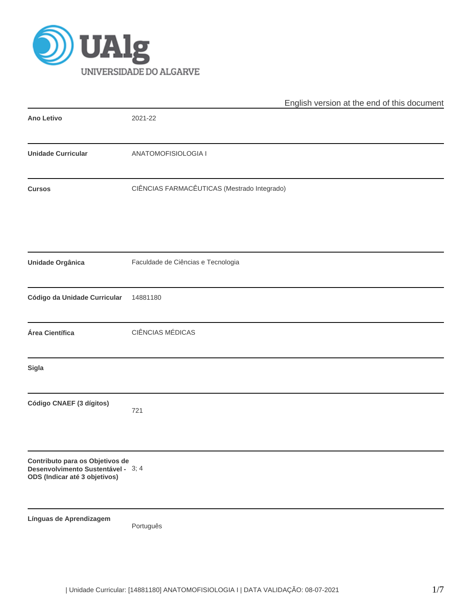

|                                                                                                        | English version at the end of this document |
|--------------------------------------------------------------------------------------------------------|---------------------------------------------|
| <b>Ano Letivo</b>                                                                                      | 2021-22                                     |
| <b>Unidade Curricular</b>                                                                              | ANATOMOFISIOLOGIA I                         |
| <b>Cursos</b>                                                                                          | CIÊNCIAS FARMACÊUTICAS (Mestrado Integrado) |
| <b>Unidade Orgânica</b>                                                                                | Faculdade de Ciências e Tecnologia          |
| Código da Unidade Curricular                                                                           | 14881180                                    |
| Área Científica                                                                                        | <b>CIÊNCIAS MÉDICAS</b>                     |
| <b>Sigla</b>                                                                                           |                                             |
| Código CNAEF (3 dígitos)                                                                               | 721                                         |
| Contributo para os Objetivos de<br>Desenvolvimento Sustentável - 3; 4<br>ODS (Indicar até 3 objetivos) |                                             |
| Línguas de Aprendizagem                                                                                | Português                                   |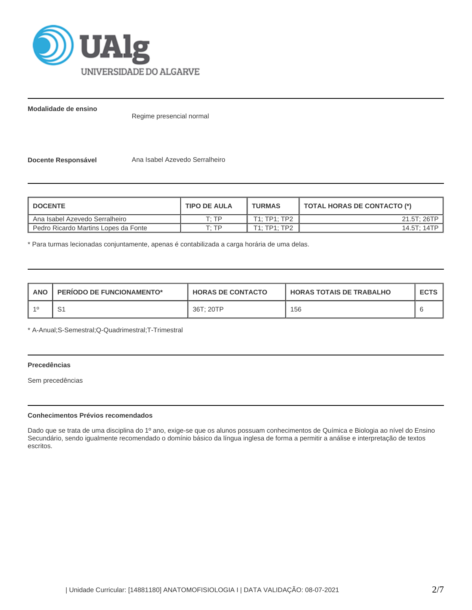

**Modalidade de ensino**

Regime presencial normal

**Docente Responsável Mana Isabel Azevedo Serralheiro** 

| <b>I DOCENTE</b>                     | <b>TIPO DE AULA</b> | <b>TURMAS</b> | TOTAL HORAS DE CONTACTO (*) |
|--------------------------------------|---------------------|---------------|-----------------------------|
| Ana Isabel Azevedo Serralheiro       | T. TP               | T1: TP1: TP2  | 21.5T: 26TP                 |
| Pedro Ricardo Martins Lopes da Fonte | T: TP               | T1: TP1: TP2  | 14.5T: 14TP                 |

\* Para turmas lecionadas conjuntamente, apenas é contabilizada a carga horária de uma delas.

| ANO | <b>PERIODO DE FUNCIONAMENTO*</b> | <b>HORAS DE CONTACTO</b> | <b>HORAS TOTAIS DE TRABALHO</b> | <b>ECTS</b> |
|-----|----------------------------------|--------------------------|---------------------------------|-------------|
|     | . ت                              | 36T: 20TP                | 156                             |             |

\* A-Anual;S-Semestral;Q-Quadrimestral;T-Trimestral

# **Precedências**

Sem precedências

## **Conhecimentos Prévios recomendados**

Dado que se trata de uma disciplina do 1º ano, exige-se que os alunos possuam conhecimentos de Química e Biologia ao nível do Ensino Secundário, sendo igualmente recomendado o domínio básico da língua inglesa de forma a permitir a análise e interpretação de textos escritos.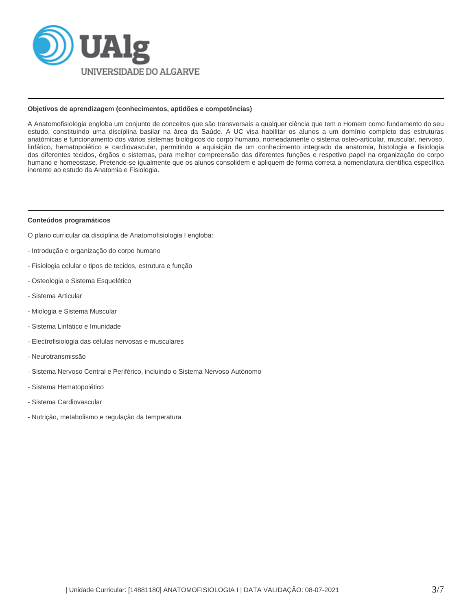

#### **Objetivos de aprendizagem (conhecimentos, aptidões e competências)**

A Anatomofisiologia engloba um conjunto de conceitos que são transversais a qualquer ciência que tem o Homem como fundamento do seu estudo, constituindo uma disciplina basilar na área da Saúde. A UC visa habilitar os alunos a um domínio completo das estruturas anatómicas e funcionamento dos vários sistemas biológicos do corpo humano, nomeadamente o sistema osteo-articular, muscular, nervoso, linfático, hematopoiético e cardiovascular, permitindo a aquisição de um conhecimento integrado da anatomia, histologia e fisiologia dos diferentes tecidos, órgãos e sistemas, para melhor compreensão das diferentes funções e respetivo papel na organização do corpo humano e homeostase. Pretende-se igualmente que os alunos consolidem e apliquem de forma correta a nomenclatura científica específica inerente ao estudo da Anatomia e Fisiologia.

#### **Conteúdos programáticos**

O plano curricular da disciplina de Anatomofisiologia I engloba:

- Introdução e organização do corpo humano
- Fisiologia celular e tipos de tecidos, estrutura e função
- Osteologia e Sistema Esquelético
- Sistema Articular
- Miologia e Sistema Muscular
- Sistema Linfático e Imunidade
- Electrofisiologia das células nervosas e musculares
- Neurotransmissão
- Sistema Nervoso Central e Periférico, incluindo o Sistema Nervoso Autónomo
- Sistema Hematopoiético
- Sistema Cardiovascular
- Nutrição, metabolismo e regulação da temperatura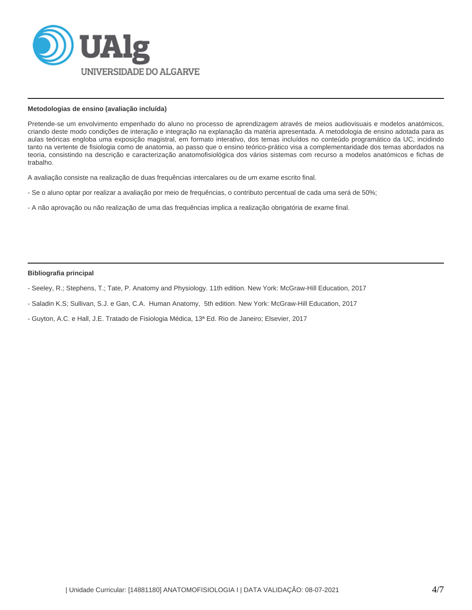

### **Metodologias de ensino (avaliação incluída)**

Pretende-se um envolvimento empenhado do aluno no processo de aprendizagem através de meios audiovisuais e modelos anatómicos, criando deste modo condições de interação e integração na explanação da matéria apresentada. A metodologia de ensino adotada para as aulas teóricas engloba uma exposição magistral, em formato interativo, dos temas incluídos no conteúdo programático da UC, incidindo tanto na vertente de fisiologia como de anatomia, ao passo que o ensino teórico-prático visa a complementaridade dos temas abordados na teoria, consistindo na descrição e caracterização anatomofisiológica dos vários sistemas com recurso a modelos anatómicos e fichas de trabalho.

A avaliação consiste na realização de duas frequências intercalares ou de um exame escrito final.

- Se o aluno optar por realizar a avaliação por meio de frequências, o contributo percentual de cada uma será de 50%;
- A não aprovação ou não realização de uma das frequências implica a realização obrigatória de exame final.

### **Bibliografia principal**

- Seeley, R.; Stephens, T.; Tate, P. Anatomy and Physiology. 11th edition. New York: McGraw-Hill Education, 2017
- Saladin K.S; Sullivan, S.J. e Gan, C.A. Human Anatomy, 5th edition. New York: McGraw-Hill Education, 2017
- Guyton, A.C. e Hall, J.E. Tratado de Fisiologia Médica, 13ª Ed. Rio de Janeiro; Elsevier, 2017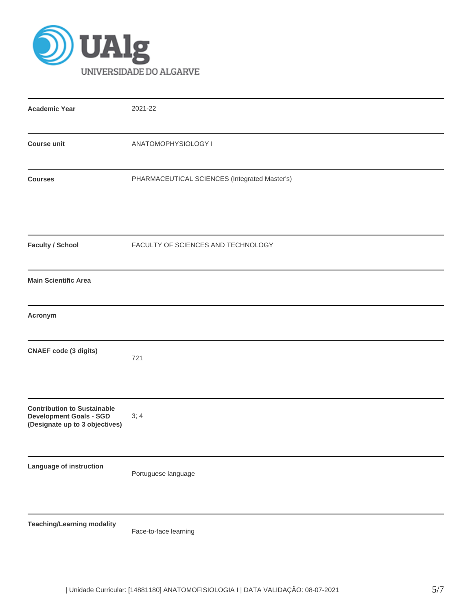

| <b>Academic Year</b>                                                                                   | 2021-22                                       |
|--------------------------------------------------------------------------------------------------------|-----------------------------------------------|
| <b>Course unit</b>                                                                                     | ANATOMOPHYSIOLOGY I                           |
| <b>Courses</b>                                                                                         | PHARMACEUTICAL SCIENCES (Integrated Master's) |
| <b>Faculty / School</b>                                                                                | FACULTY OF SCIENCES AND TECHNOLOGY            |
| <b>Main Scientific Area</b>                                                                            |                                               |
| Acronym                                                                                                |                                               |
| <b>CNAEF</b> code (3 digits)                                                                           | 721                                           |
| <b>Contribution to Sustainable</b><br><b>Development Goals - SGD</b><br>(Designate up to 3 objectives) | 3; 4                                          |
| Language of instruction                                                                                | Portuguese language                           |
| <b>Teaching/Learning modality</b>                                                                      | Face-to-face learning                         |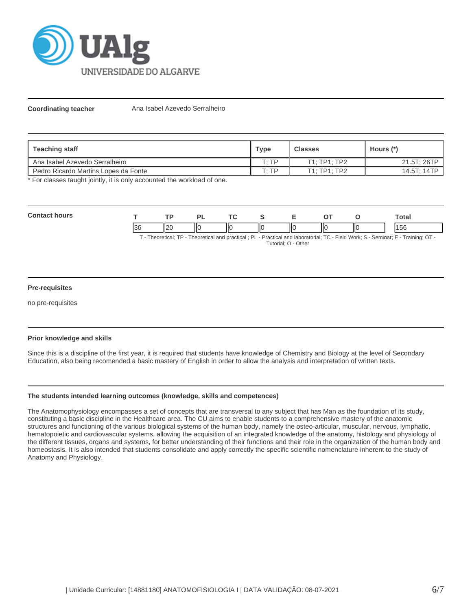

**Coordinating teacher** Ana Isabel Azevedo Serralheiro

| Teaching staff                       | <b>Type</b>  | <b>Classes</b> | Hours (*)   |  |
|--------------------------------------|--------------|----------------|-------------|--|
| L Ana Isabel Azevedo Serralheiro     | $T \cdot TP$ | T1:TP1:TP2     | 21.5T; 26TP |  |
| Pedro Ricardo Martins Lopes da Fonte | ח די         | T1: TP1: TP2   | 14.5T; 14TP |  |

\* For classes taught jointly, it is only accounted the workload of one.

| $C_{\alpha n}$ |          |      | D)            |    |    |     |    |     | ัotal |
|----------------|----------|------|---------------|----|----|-----|----|-----|-------|
|                | oc<br>JС | II20 | $\parallel$ o | ΙЮ | ΙЮ | llo | IЮ | IІC | .56   |

T - Theoretical; TP - Theoretical and practical ; PL - Practical and laboratorial; TC - Field Work; S - Seminar; E - Training; OT - Tutorial; O - Other

### **Pre-requisites**

no pre-requisites

# **Prior knowledge and skills**

Since this is a discipline of the first year, it is required that students have knowledge of Chemistry and Biology at the level of Secondary Education, also being recomended a basic mastery of English in order to allow the analysis and interpretation of written texts.

### **The students intended learning outcomes (knowledge, skills and competences)**

The Anatomophysiology encompasses a set of concepts that are transversal to any subject that has Man as the foundation of its study, constituting a basic discipline in the Healthcare area. The CU aims to enable students to a comprehensive mastery of the anatomic structures and functioning of the various biological systems of the human body, namely the osteo-articular, muscular, nervous, lymphatic, hematopoietic and cardiovascular systems, allowing the acquisition of an integrated knowledge of the anatomy, histology and physiology of the different tissues, organs and systems, for better understanding of their functions and their role in the organization of the human body and homeostasis. It is also intended that students consolidate and apply correctly the specific scientific nomenclature inherent to the study of Anatomy and Physiology.